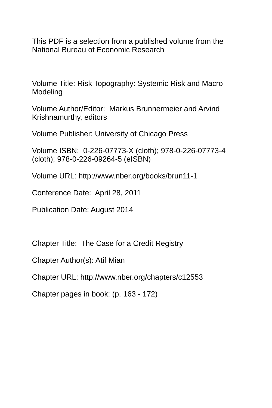This PDF is a selection from a published volume from the National Bureau of Economic Research

Volume Title: Risk Topography: Systemic Risk and Macro Modeling

Volume Author/Editor: Markus Brunnermeier and Arvind Krishnamurthy, editors

Volume Publisher: University of Chicago Press

Volume ISBN: 0-226-07773-X (cloth); 978-0-226-07773-4 (cloth); 978-0-226-09264-5 (eISBN)

Volume URL: http://www.nber.org/books/brun11-1

Conference Date: April 28, 2011

Publication Date: August 2014

Chapter Title: The Case for a Credit Registry

Chapter Author(s): Atif Mian

Chapter URL: http://www.nber.org/chapters/c12553

Chapter pages in book: (p. 163 - 172)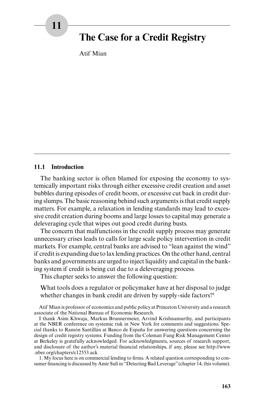# **The Case for a Credit Registry**

Atif Mian

# **11.1 Introduction**

**11**

The banking sector is often blamed for exposing the economy to systemically important risks through either excessive credit creation and asset bubbles during episodes of credit boom, or excessive cut back in credit during slumps. The basic reasoning behind such arguments is that credit supply matters. For example, a relaxation in lending standards may lead to excessive credit creation during booms and large losses to capital may generate a deleveraging cycle that wipes out good credit during busts.

The concern that malfunctions in the credit supply process may generate unnecessary crises leads to calls for large scale policy intervention in credit markets. For example, central banks are advised to "lean against the wind" if credit is expanding due to lax lending practices. On the other hand, central banks and governments are urged to inject liquidity and capital in the banking system if credit is being cut due to a deleveraging process.

This chapter seeks to answer the following question:

What tools does a regulator or policymaker have at her disposal to judge whether changes in bank credit are driven by supply-side factors?<sup>1</sup>

Atif Mian is professor of economics and public policy at Princeton University and a research associate of the National Bureau of Economic Research.

I thank Asim Khwaja, Markus Brunnermeier, Arvind Krishnamurthy, and participants at the NBER conference on systemic risk in New York for comments and suggestions. Special thanks to Ramón Santillán at Banco de España for answering questions concerning the design of credit registry systems. Funding from the Coleman Fung Risk Management Center at Berkeley is gratefully acknowledged. For acknowledgments, sources of research support, and disclosure of the author's material financial relationships, if any, please see http://www .nber.org/chapters/c12553.ack

1. My focus here is on commercial lending to firms. A related question corresponding to consumer financing is discussed by Amir Sufi in "Detecting Bad Leverage" (chapter 14, this volume).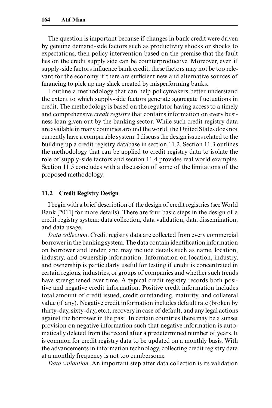The question is important because if changes in bank credit were driven by genuine demand-side factors such as productivity shocks or shocks to expectations, then policy intervention based on the premise that the fault lies on the credit supply side can be counterproductive. Moreover, even if supply-side factors influence bank credit, these factors may not be too relevant for the economy if there are sufficient new and alternative sources of financing to pick up any slack created by misperforming banks.

I outline a methodology that can help policymakers better understand the extent to which supply-side factors generate aggregate fluctuations in credit. The methodology is based on the regulator having access to a timely and comprehensive *credit registry* that contains information on every business loan given out by the banking sector. While such credit registry data are available in many countries around the world, the United States does not currently have a comparable system. I discuss the design issues related to the building up a credit registry database in section 11.2. Section 11.3 outlines the methodology that can be applied to credit registry data to isolate the role of supply-side factors and section 11.4 provides real world examples. Section 11.5 concludes with a discussion of some of the limitations of the proposed methodology.

# **11.2 Credit Registry Design**

I begin with a brief description of the design of credit registries (see World Bank [2011] for more details). There are four basic steps in the design of a credit registry system: data collection, data validation, data dissemination, and data usage.

*Data collection*. Credit registry data are collected from every commercial borrower in the banking system. The data contain identification information on borrower and lender, and may include details such as name, location, industry, and ownership information. Information on location, industry, and ownership is particularly useful for testing if credit is concentrated in certain regions, industries, or groups of companies and whether such trends have strengthened over time. A typical credit registry records both positive and negative credit information. Positive credit information includes total amount of credit issued, credit outstanding, maturity, and collateral value (if any). Negative credit information includes default rate (broken by thirty-day, sixty-day, etc.), recovery in case of default, and any legal actions against the borrower in the past. In certain countries there may be a sunset provision on negative information such that negative information is automatically deleted from the record after a predetermined number of years. It is common for credit registry data to be updated on a monthly basis. With the advancements in information technology, collecting credit registry data at a monthly frequency is not too cumbersome.

*Data validation*. An important step after data collection is its validation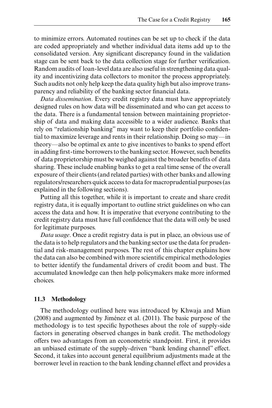to minimize errors. Automated routines can be set up to check if the data are coded appropriately and whether individual data items add up to the consolidated version. Any significant discrepancy found in the validation stage can be sent back to the data collection stage for further verification. Random audits of loan-level data are also useful in strengthening data quality and incentivizing data collectors to monitor the process appropriately. Such audits not only help keep the data quality high but also improve transparency and reliability of the banking sector financial data.

*Data dissemination*. Every credit registry data must have appropriately designed rules on how data will be disseminated and who can get access to the data. There is a fundamental tension between maintaining proprietorship of data and making data accessible to a wider audience. Banks that rely on "relationship banking" may want to keep their portfolio confidential to maximize leverage and rents in their relationship. Doing so may—in theory—also be optimal ex ante to give incentives to banks to spend effort in adding first-time borrowers to the banking sector. However, such benefits of data proprietorship must be weighed against the broader benefits of data sharing. These include enabling banks to get a real time sense of the overall exposure of their clients (and related parties) with other banks and allowing regulators/researchers quick access to data for macroprudential purposes (as explained in the following sections).

Putting all this together, while it is important to create and share credit registry data, it is equally important to outline strict guidelines on who can access the data and how. It is imperative that everyone contributing to the credit registry data must have full confidence that the data will only be used for legitimate purposes.

*Data usage*. Once a credit registry data is put in place, an obvious use of the data is to help regulators and the banking sector use the data for prudential and risk-management purposes. The rest of this chapter explains how the data can also be combined with more scientific empirical methodologies to better identify the fundamental drivers of credit boom and bust. The accumulated knowledge can then help policymakers make more informed choices.

## **11.3 Methodology**

The methodology outlined here was introduced by Khwaja and Mian (2008) and augmented by Jiménez et al. (2011). The basic purpose of the methodology is to test specific hypotheses about the role of supply-side factors in generating observed changes in bank credit. The methodology offers two advantages from an econometric standpoint. First, it provides an unbiased estimate of the supply-driven "bank lending channel" effect. Second, it takes into account general equilibrium adjustments made at the borrower level in reaction to the bank lending channel effect and provides a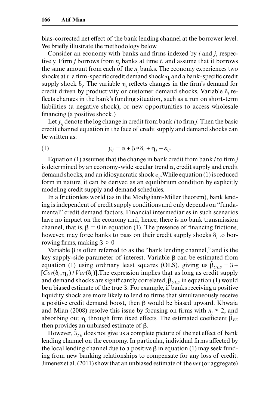bias-corrected net effect of the bank lending channel at the borrower level. We briefly illustrate the methodology below.

Consider an economy with banks and firms indexed by *i* and *j*, respectively. Firm *j* borrows from  $n_j$  banks at time  $t$ , and assume that it borrows the same amount from each of the  $n_j$  banks. The economy experiences two shocks at *t*: a firm-specific credit demand shock h*<sup>j</sup>* and a bank-specific credit supply shock  $\delta_i$ . The variable  $\eta_j$  reflects changes in the firm's demand for credit driven by productivity or customer demand shocks. Variable  $\delta_i$  reflects changes in the bank's funding situation, such as a run on short-term liabilities (a negative shock), or new opportunities to access wholesale financing (a positive shock.)

Let  $y_{ii}$  denote the log change in credit from bank *i* to firm *j*. Then the basic credit channel equation in the face of credit supply and demand shocks can be written as:

(1) 
$$
y_{ij} = \alpha + \beta * \delta_i + \eta_j + \varepsilon_{ij}.
$$

Equation (1) assumes that the change in bank credit from bank *i* to firm *j* is determined by an economy-wide secular trend  $\alpha$ , credit supply and credit demand shocks, and an idiosyncratic shock  $\varepsilon_{ii}$ . While equation (1) is reduced form in nature, it can be derived as an equilibrium condition by explicitly modeling credit supply and demand schedules.

In a frictionless world (as in the Modigliani-Miller theorem), bank lending is independent of credit supply conditions and only depends on "fundamental" credit demand factors. Financial intermediaries in such scenarios have no impact on the economy and, hence, there is no bank transmission channel, that is,  $\beta = 0$  in equation (1). The presence of financing frictions, however, may force banks to pass on their credit supply shocks  $\delta_i$  to borrowing firms, making  $\beta > 0$ 

Variable  $\beta$  is often referred to as the "bank lending channel," and is the key supply-side parameter of interest. Variable  $\beta$  can be estimated from equation (1) using ordinary least squares (OLS), giving us  $\beta_{OLS} = \beta + \beta$  $[Cov(\delta_i, \eta_i) / Var(\delta_i)]$ . The expression implies that as long as credit supply and demand shocks are significantly correlated,  $\beta_{OLS}$  in equation (1) would be a biased estimate of the true  $\beta$ . For example, if banks receiving a positive liquidity shock are more likely to lend to firms that simultaneously receive a positive credit demand boost, then  $\beta$  would be biased upward. Khwaja and Mian (2008) resolve this issue by focusing on firms with  $n_i \geq 2$ , and absorbing out  $\eta_j$  through firm fixed effects. The estimated coefficient  $\hat{\beta}_{FE}$ then provides an unbiased estimate of  $\beta$ .

However,  $\beta_{FE}$  does not give us a complete picture of the net effect of bank lending channel on the economy. In particular, individual firms affected by the local lending channel due to a positive  $\beta$  in equation (1) may seek funding from new banking relationships to compensate for any loss of credit. Jimenez et al. (2011) show that an unbiased estimate of the *net* (or aggregate)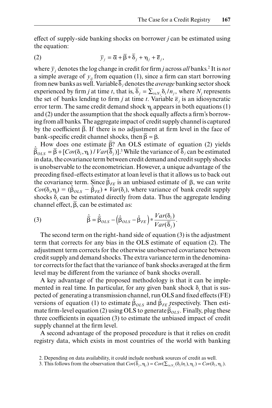effect of supply-side banking shocks on borrower *j* can be estimated using the equation:

(2) 
$$
\overline{y}_j = \overline{\alpha} + \overline{\beta} * \overline{\delta}_j + \eta_j + \overline{\epsilon}_j,
$$

where  $\overline{y}_j$  denotes the log change in credit for firm *j* across *all* banks.<sup>2</sup> It is *not* a simple average of  $y_{ii}$  from equation (1), since a firm can start borrowing from new banks as well. Variable  $\overline{\delta}_j$  denotes the *average* banking sector shock experienced by firm *j* at time *t*, that is,  $\delta_j = \sum_{i \in N_j} \delta_i / n_j$ , where  $N_j$  represents the set of banks lending to firm *j* at time *t*. Variable  $\overline{\epsilon}_i$  is an idiosyncratic error term. The same credit demand shock  $\eta_j$  appears in both equations (1) and  $(2)$  under the assumption that the shock equally affects a firm's borrowing from all banks. The aggregate impact of credit supply channel is captured by the coefficient  $\beta$ . If there is no adjustment at firm level in the face of bank-specific credit channel shocks, then  $\overline{B} = \beta$ .

How does one estimate  $\bar{B}$ ? An OLS estimate of equation (2) yields  $\hat{\vec{B}}_{OLS} = \vec{B} + [Cov(\delta_i, \eta_i) / Var(\vec{\delta}_j)]^3$ . While the variance of  $\vec{\delta}_j$  can be estimated in data, the covariance term between credit demand and credit supply shocks is unobservable to the econometrician. However, a unique advantage of the preceding fixed-effects estimator at loan level is that it allows us to back out the covariance term. Since  $\hat{\beta}_{FE}$  is an unbiased estimate of  $\beta$ , we can write  $Cov(\delta_{\rho} \eta_j) = (\hat{\beta}_{OLS} - \hat{\beta}_{FE}) * Var(\delta_i)$ , where variance of bank credit supply shocks  $\delta$ <sub>i</sub> can be estimated directly from data. Thus the aggregate lending channel effect,  $\overline{B}$ , can be estimated as:

(3) 
$$
\hat{\bar{\beta}} = \hat{\bar{\beta}}_{OLS} - (\hat{\beta}_{OLS} - \hat{\beta}_{FE}) * \frac{Var(\delta_i)}{Var(\bar{\delta}_j)}.
$$

The second term on the right-hand side of equation (3) is the adjustment term that corrects for any bias in the OLS estimate of equation (2). The adjustment term corrects for the otherwise unobserved covariance between credit supply and demand shocks. The extra variance term in the denominator corrects for the fact that the variance of bank shocks averaged at the firm level may be different from the variance of bank shocks overall.

A key advantage of the proposed methodology is that it can be implemented in real time. In particular, for any given bank shock  $\delta_i$  that is suspected of generating a transmission channel, run OLS and fixed effects (FE) versions of equation (1) to estimate  $\hat{\beta}_{OLS}$  and  $\hat{\beta}_{FE}$  respectively. Then estiwhere  $\sigma$  is a particle by  $\sigma$  column  $\phi$ <sub>*OLS*</sub> and  $\rho$ <sub>*FR*</sub> $\geq$  experiments. Then  $\sigma$  is matter firm-level equation (2) using OLS to generate  $\beta$ <sub>*OLS*</sub>. Finally, plug these three coefficients in equation  $(3)$  to estimate the unbiased impact of credit supply channel at the firm level.

A second advantage of the proposed procedure is that it relies on credit registry data, which exists in most countries of the world with banking

<sup>2.</sup> Depending on data availability, it could include nonbank sources of credit as well.

<sup>3.</sup> This follows from the observation that  $Cov(\delta_i, \eta_i) = Cov(\sum_{i \in N_i} (\delta_i/n_i), \eta_i) = Cov(\delta_i, \eta_i)$ .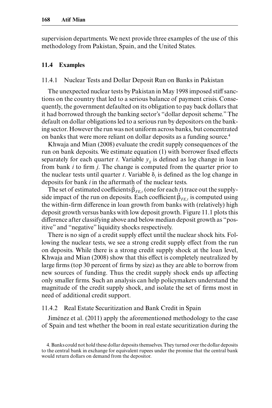supervision departments. We next provide three examples of the use of this methodology from Pakistan, Spain, and the United States.

## **11.4 Examples**

# 11.4.1 Nuclear Tests and Dollar Deposit Run on Banks in Pakistan

The unexpected nuclear tests by Pakistan in May 1998 imposed stiff sanctions on the country that led to a serious balance of payment crisis. Consequently, the government defaulted on its obligation to pay back dollars that it had borrowed through the banking sector's "dollar deposit scheme." The default on dollar obligations led to a serious run by depositors on the banking sector. However the run was not uniform across banks, but concentrated on banks that were more reliant on dollar deposits as a funding source.4

Khwaja and Mian (2008) evaluate the credit supply consequences of the run on bank deposits. We estimate equation  $(1)$  with borrower fixed effects separately for each quarter *t*. Variable  $y_{ij}$  is defined as log change in loan from bank *i* to firm *j*. The change is computed from the quarter prior to the nuclear tests until quarter *t*. Variable  $\delta_i$  is defined as the log change in deposits for bank *i* in the aftermath of the nuclear tests.

The set of estimated coefficients  $\hat{\beta}_{FE,t}$  (one for each *t*) trace out the supplyside impact of the run on deposits. Each coefficient  $\hat{\beta}_{FE}$  is computed using the within-firm difference in loan growth from banks with (relatively) high deposit growth versus banks with low deposit growth. Figure 11.1 plots this difference after classifying above and below median deposit growth as "positive" and "negative" liquidity shocks respectively.

There is no sign of a credit supply effect until the nuclear shock hits. Following the nuclear tests, we see a strong credit supply effect from the run on deposits. While there is a strong credit supply shock at the loan level, Khwaja and Mian (2008) show that this effect is completely neutralized by large firms (top 30 percent of firms by size) as they are able to borrow from new sources of funding. Thus the credit supply shock ends up affecting only smaller firms. Such an analysis can help policymakers understand the magnitude of the credit supply shock, and isolate the set of firms most in need of additional credit support.

#### 11.4.2 Real Estate Securitization and Bank Credit in Spain

Jiménez et al. (2011) apply the aforementioned methodology to the case of Spain and test whether the boom in real estate securitization during the

<sup>4.</sup> Banks could not hold these dollar deposits themselves. They turned over the dollar deposits to the central bank in exchange for equivalent rupees under the promise that the central bank would return dollars on demand from the depositor.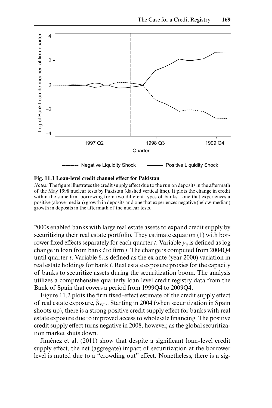

#### **Fig. 11.1 Loan-level credit channel effect for Pakistan**

*Notes:* The figure illustrates the credit supply effect due to the run on deposits in the aftermath of the May 1998 nuclear tests by Pakistan (dashed vertical line). It plots the change in credit within the same firm borrowing from two different types of banks—one that experiences a positive (above-median) growth in deposits and one that experiences negative (below-median) growth in deposits in the aftermath of the nuclear tests.

2000s enabled banks with large real estate assets to expand credit supply by securitizing their real estate portfolio. They estimate equation (1) with borrower fixed effects separately for each quarter *t*. Variable  $y_{ii}$  is defined as log change in loan from bank *i* to firm *j*. The change is computed from 2004Q4 until quarter *t*. Variable  $\delta_i$  is defined as the ex ante (year 2000) variation in real estate holdings for bank *i*. Real estate exposure proxies for the capacity of banks to securitize assets during the securitization boom. The analysis utilizes a comprehensive quarterly loan level credit registry data from the Bank of Spain that covers a period from 1999Q4 to 2009Q4.

Figure 11.2 plots the firm fixed-effect estimate of the credit supply effect of real estate exposure,  $\hat{\beta}_{FEL}$ . Starting in 2004 (when securitization in Spain shoots up), there is a strong positive credit supply effect for banks with real estate exposure due to improved access to wholesale financing. The positive credit supply effect turns negative in 2008, however, as the global securitization market shuts down.

Jiménez et al. (2011) show that despite a significant loan-level credit supply effect, the net (aggregate) impact of securitization at the borrower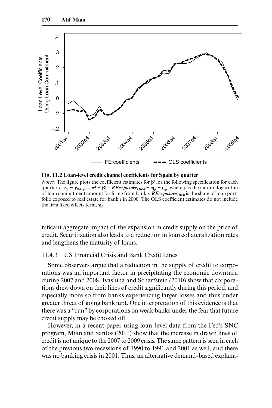

**Fig. 11.2 Loan-level credit channel coefficients for Spain by quarter** *Notes:* The figure plots the coefficient estimates for  $\beta'$  for the following specification for each quarter *t*:  $y_{ijt} - y_{ij,04q4} = \alpha^t + \beta^t * REexposure_{i,2000} + \eta_{jt} + \varepsilon_{ijt}$ , where *y* is the natural logarithm of loan commitment amount for firm *j* from bank *i*. **REexposure**<sub>i,2000</sub> is the share of loan portfolio exposed to real estate for bank *i* in 2000. The OLS coefficient estimates do not include the firm fixed effects term,  $\eta_{it}$ .

nificant aggregate impact of the expansion in credit supply on the price of credit. Securitization also leads to a reduction in loan collateralization rates and lengthens the maturity of loans.

# 11.4.3 US Financial Crisis and Bank Credit Lines

Some observers argue that a reduction in the supply of credit to corporations was an important factor in precipitating the economic downturn during 2007 and 2008. Ivashina and Scharfstein (2010) show that corporations drew down on their lines of credit significantly during this period, and especially more so from banks experiencing larger losses and thus under greater threat of going bankrupt. One interpretation of this evidence is that there was a "run" by corporations on weak banks under the fear that future credit supply may be choked off.

However, in a recent paper using loan-level data from the Fed's SNC program, Mian and Santos (2011) show that the increase in drawn lines of credit is not unique to the 2007 to 2009 crisis. The same pattern is seen in each of the previous two recessions of 1990 to 1991 and 2001 as well, and there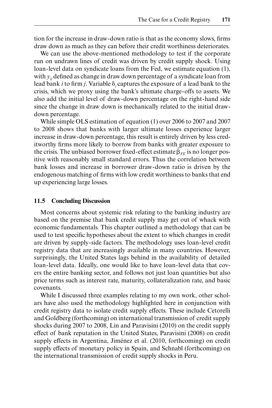tion for the increase in draw-down ratio is that as the economy slows, firms draw down as much as they can before their credit worthiness deteriorates.

We can use the above-mentioned methodology to test if the corporate run on undrawn lines of credit was driven by credit supply shock. Using loan-level data on syndicate loans from the Fed, we estimate equation (1), with  $y_{ii}$  defined as change in draw down percentage of a syndicate loan from lead bank *i* to firm *j*. Variable  $\delta_i$  captures the exposure of a lead bank to the crisis, which we proxy using the bank's ultimate charge-offs to assets. We also add the initial level of draw-down percentage on the right-hand side since the change in draw down is mechanically related to the initial drawdown percentage.

While simple OLS estimation of equation (1) over 2006 to 2007 and 2007 to 2008 shows that banks with larger ultimate losses experience larger increase in draw-down percentage, this result is entirely driven by less creditworthy firms more likely to borrow from banks with greater exposure to the crisis. The unbiased borrower fixed-effect estimate  $\hat{\beta}_{FE}$  is no longer positive with reasonably small standard errors. Thus the correlation between bank losses and increase in borrower draw-down ratio is driven by the endogenous matching of firms with low credit worthiness to banks that end up experiencing large losses.

#### **11.5 Concluding Discussion**

Most concerns about systemic risk relating to the banking industry are based on the premise that bank credit supply may get out of whack with economic fundamentals. This chapter outlined a methodology that can be used to test specific hypotheses about the extent to which changes in credit are driven by supply-side factors. The methodology uses loan-level credit registry data that are increasingly available in many countries. However, surprisingly, the United States lags behind in the availability of detailed loan-level data. Ideally, one would like to have loan-level data that covers the entire banking sector, and follows not just loan quantities but also price terms such as interest rate, maturity, collateralization rate, and basic covenants.

While I discussed three examples relating to my own work, other scholars have also used the methodology highlighted here in conjunction with credit registry data to isolate credit supply effects. These include Cetorelli and Goldberg (forthcoming) on international transmission of credit supply shocks during 2007 to 2008, Lin and Paravisini (2010) on the credit supply effect of bank reputation in the United States, Paravisini (2008) on credit supply effects in Argentina, Jiménez et al. (2010, forthcoming) on credit supply effects of monetary policy in Spain, and Schnabl (forthcoming) on the international transmission of credit supply shocks in Peru.